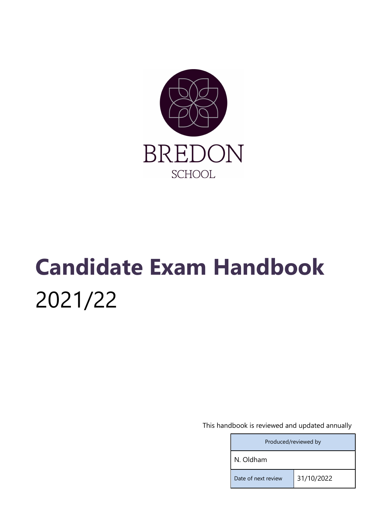

# Candidate Exam Handbook 2021/22

This handbook is reviewed and updated annually

| Produced/reviewed by |            |
|----------------------|------------|
| N. Oldham            |            |
| Date of next review  | 31/10/2022 |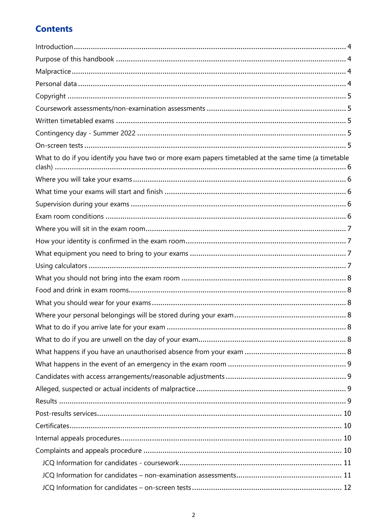# **Contents**

| What to do if you identify you have two or more exam papers timetabled at the same time (a timetable |  |
|------------------------------------------------------------------------------------------------------|--|
|                                                                                                      |  |
|                                                                                                      |  |
|                                                                                                      |  |
|                                                                                                      |  |
|                                                                                                      |  |
|                                                                                                      |  |
|                                                                                                      |  |
|                                                                                                      |  |
|                                                                                                      |  |
|                                                                                                      |  |
|                                                                                                      |  |
|                                                                                                      |  |
|                                                                                                      |  |
|                                                                                                      |  |
|                                                                                                      |  |
|                                                                                                      |  |
|                                                                                                      |  |
|                                                                                                      |  |
|                                                                                                      |  |
|                                                                                                      |  |
|                                                                                                      |  |
|                                                                                                      |  |
|                                                                                                      |  |
|                                                                                                      |  |
|                                                                                                      |  |
|                                                                                                      |  |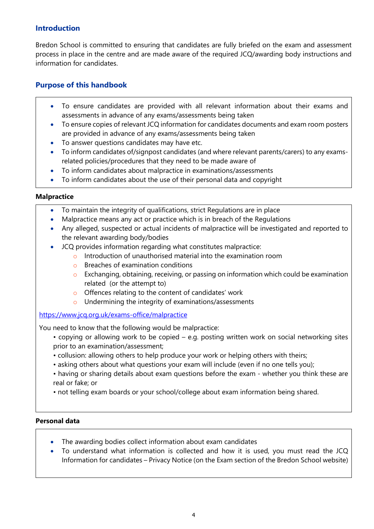## **Introduction**

Bredon School is committed to ensuring that candidates are fully briefed on the exam and assessment process in place in the centre and are made aware of the required JCQ/awarding body instructions and information for candidates.

# Purpose of this handbook

- To ensure candidates are provided with all relevant information about their exams and assessments in advance of any exams/assessments being taken
- To ensure copies of relevant JCQ information for candidates documents and exam room posters are provided in advance of any exams/assessments being taken
- To answer questions candidates may have etc.
- To inform candidates of/signpost candidates (and where relevant parents/carers) to any examsrelated policies/procedures that they need to be made aware of
- To inform candidates about malpractice in examinations/assessments
- To inform candidates about the use of their personal data and copyright

#### **Malpractice**

- To maintain the integrity of qualifications, strict Regulations are in place
- Malpractice means any act or practice which is in breach of the Regulations
- Any alleged, suspected or actual incidents of malpractice will be investigated and reported to the relevant awarding body/bodies
- JCQ provides information regarding what constitutes malpractice:
	- o Introduction of unauthorised material into the examination room
	- o Breaches of examination conditions
	- o Exchanging, obtaining, receiving, or passing on information which could be examination related (or the attempt to)
	- o Offences relating to the content of candidates' work
	- o Undermining the integrity of examinations/assessments

#### https://www.jcq.org.uk/exams-office/malpractice

You need to know that the following would be malpractice:

- copying or allowing work to be copied e.g. posting written work on social networking sites prior to an examination/assessment;
- collusion: allowing others to help produce your work or helping others with theirs;
- asking others about what questions your exam will include (even if no one tells you);
- having or sharing details about exam questions before the exam whether you think these are real or fake; or
- not telling exam boards or your school/college about exam information being shared.

#### Personal data

- The awarding bodies collect information about exam candidates
- To understand what information is collected and how it is used, you must read the JCQ Information for candidates – Privacy Notice (on the Exam section of the Bredon School website)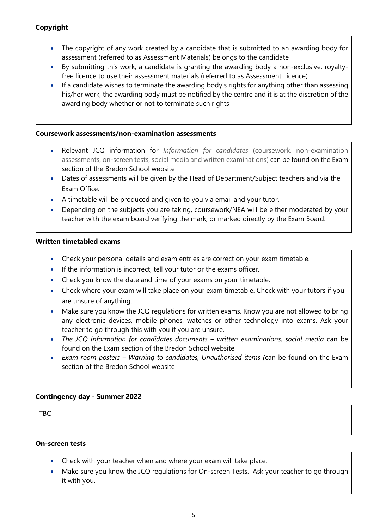## Copyright

- The copyright of any work created by a candidate that is submitted to an awarding body for assessment (referred to as Assessment Materials) belongs to the candidate
- By submitting this work, a candidate is granting the awarding body a non-exclusive, royaltyfree licence to use their assessment materials (referred to as Assessment Licence)
- If a candidate wishes to terminate the awarding body's rights for anything other than assessing his/her work, the awarding body must be notified by the centre and it is at the discretion of the awarding body whether or not to terminate such rights

#### Coursework assessments/non-examination assessments

- Relevant JCQ information for Information for candidates (coursework, non-examination assessments, on-screen tests, social media and written examinations) can be found on the Exam section of the Bredon School website
- Dates of assessments will be given by the Head of Department/Subject teachers and via the Exam Office.
- A timetable will be produced and given to you via email and your tutor.
- Depending on the subjects you are taking, coursework/NEA will be either moderated by your teacher with the exam board verifying the mark, or marked directly by the Exam Board.

#### Written timetabled exams

- Check your personal details and exam entries are correct on your exam timetable.
- If the information is incorrect, tell your tutor or the exams officer.
- Check you know the date and time of your exams on your timetable.
- Check where your exam will take place on your exam timetable. Check with your tutors if you are unsure of anything.
- Make sure you know the JCQ regulations for written exams. Know you are not allowed to bring any electronic devices, mobile phones, watches or other technology into exams. Ask your teacher to go through this with you if you are unsure.
- The JCQ information for candidates documents written examinations, social media can be found on the Exam section of the Bredon School website
- Exam room posters Warning to candidates, Unauthorised items (can be found on the Exam section of the Bredon School website

#### Contingency day - Summer 2022

TBC

#### On-screen tests

- Check with your teacher when and where your exam will take place.
- Make sure you know the JCQ regulations for On-screen Tests. Ask your teacher to go through it with you.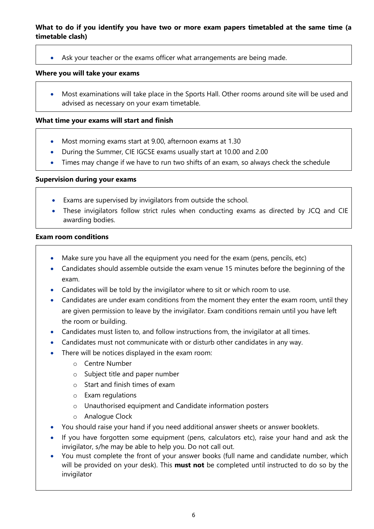#### What to do if you identify you have two or more exam papers timetabled at the same time (a timetable clash)

Ask your teacher or the exams officer what arrangements are being made.

#### Where you will take your exams

 Most examinations will take place in the Sports Hall. Other rooms around site will be used and advised as necessary on your exam timetable.

#### What time your exams will start and finish

- Most morning exams start at 9.00, afternoon exams at 1.30
- During the Summer, CIE IGCSE exams usually start at 10.00 and 2.00
- Times may change if we have to run two shifts of an exam, so always check the schedule

#### Supervision during your exams

- Exams are supervised by invigilators from outside the school.
- These invigilators follow strict rules when conducting exams as directed by JCQ and CIE awarding bodies.

#### Exam room conditions

- Make sure you have all the equipment you need for the exam (pens, pencils, etc)
- Candidates should assemble outside the exam venue 15 minutes before the beginning of the exam.
- Candidates will be told by the invigilator where to sit or which room to use.
- Candidates are under exam conditions from the moment they enter the exam room, until they are given permission to leave by the invigilator. Exam conditions remain until you have left the room or building.
- Candidates must listen to, and follow instructions from, the invigilator at all times.
- Candidates must not communicate with or disturb other candidates in any way.
- There will be notices displayed in the exam room:
	- o Centre Number
	- o Subject title and paper number
	- o Start and finish times of exam
	- o Exam regulations
	- o Unauthorised equipment and Candidate information posters
	- o Analogue Clock
- You should raise your hand if you need additional answer sheets or answer booklets.
- If you have forgotten some equipment (pens, calculators etc), raise your hand and ask the invigilator, s/he may be able to help you. Do not call out.
- You must complete the front of your answer books (full name and candidate number, which will be provided on your desk). This must not be completed until instructed to do so by the invigilator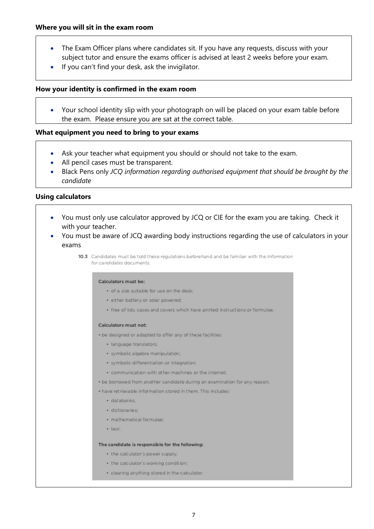- The Exam Officer plans where candidates sit. If you have any requests, discuss with your subject tutor and ensure the exams officer is advised at least 2 weeks before your exam.
- If you can't find your desk, ask the invigilator.

#### How your identity is confirmed in the exam room

 Your school identity slip with your photograph on will be placed on your exam table before the exam. Please ensure you are sat at the correct table.

#### What equipment you need to bring to your exams

- Ask your teacher what equipment you should or should not take to the exam.
- All pencil cases must be transparent.
- Black Pens only JCQ information regarding authorised equipment that should be brought by the candidate

#### Using calculators

- You must only use calculator approved by JCQ or CIE for the exam you are taking. Check it with your teacher.
- You must be aware of JCQ awarding body instructions regarding the use of calculators in your exams

10.3 Candidates must be told these regulations beforehand and be familiar with the Information for candidates documents

#### Calculators must be:

- · of a size suitable for use on the desk;
- · either battery or solar powered:
- · free of lids, cases and covers which have printed instructions or formulae.

#### Calculators must not:

. be designed or adapted to offer any of these facilities:

- · language translators;
- · symbolic algebra manipulation;
- · symbolic differentiation or integration;
- · communication with other machines or the internet;
- . be borrowed from another candidate during an examination for any reason;

. have retrievable information stored in them. This includes:

- · databanks;
- · dictionaries:
- · mathematical formulae:
- · text

#### The candidate is responsible for the following:

- the calculator's power supply;
- the calculator's working condition;
- · clearing anything stored in the calculator.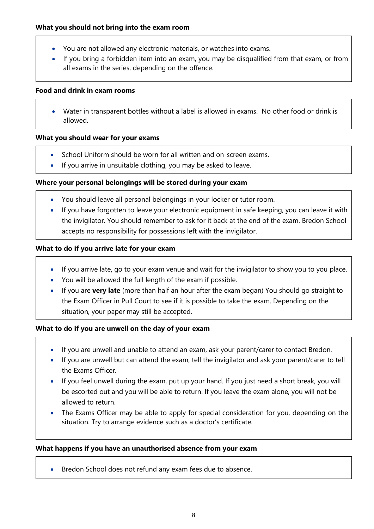- You are not allowed any electronic materials, or watches into exams.
- If you bring a forbidden item into an exam, you may be disqualified from that exam, or from all exams in the series, depending on the offence.

#### Food and drink in exam rooms

 Water in transparent bottles without a label is allowed in exams. No other food or drink is allowed.

#### What you should wear for your exams

- School Uniform should be worn for all written and on-screen exams.
- If you arrive in unsuitable clothing, you may be asked to leave.

#### Where your personal belongings will be stored during your exam

- You should leave all personal belongings in your locker or tutor room.
- If you have forgotten to leave your electronic equipment in safe keeping, you can leave it with the invigilator. You should remember to ask for it back at the end of the exam. Bredon School accepts no responsibility for possessions left with the invigilator.

#### What to do if you arrive late for your exam

- If you arrive late, go to your exam venue and wait for the invigilator to show you to you place.
- You will be allowed the full length of the exam if possible.
- If you are very late (more than half an hour after the exam began) You should go straight to the Exam Officer in Pull Court to see if it is possible to take the exam. Depending on the situation, your paper may still be accepted.

#### What to do if you are unwell on the day of your exam

- If you are unwell and unable to attend an exam, ask your parent/carer to contact Bredon.
- If you are unwell but can attend the exam, tell the invigilator and ask your parent/carer to tell the Exams Officer.
- If you feel unwell during the exam, put up your hand. If you just need a short break, you will be escorted out and you will be able to return. If you leave the exam alone, you will not be allowed to return.
- The Exams Officer may be able to apply for special consideration for you, depending on the situation. Try to arrange evidence such as a doctor's certificate.

#### What happens if you have an unauthorised absence from your exam

• Bredon School does not refund any exam fees due to absence.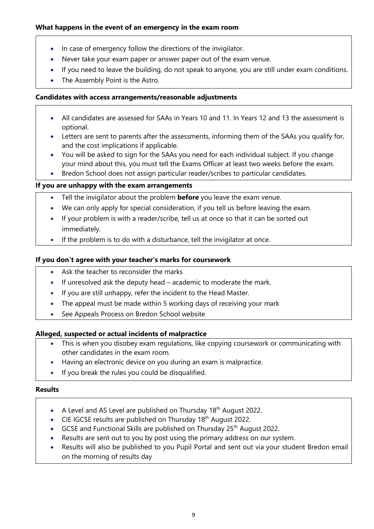#### What happens in the event of an emergency in the exam room

- In case of emergency follow the directions of the invigilator.
- Never take your exam paper or answer paper out of the exam venue.
- If you need to leave the building, do not speak to anyone, you are still under exam conditions.
- The Assembly Point is the Astro.

#### Candidates with access arrangements/reasonable adjustments

- All candidates are assessed for SAAs in Years 10 and 11. In Years 12 and 13 the assessment is optional.
- Letters are sent to parents after the assessments, informing them of the SAAs you qualify for, and the cost implications if applicable.
- You will be asked to sign for the SAAs you need for each individual subject. If you change your mind about this, you must tell the Exams Officer at least two weeks before the exam.
- Bredon School does not assign particular reader/scribes to particular candidates.

#### If you are unhappy with the exam arrangements

- Tell the invigilator about the problem **before** you leave the exam venue.
- We can only apply for special consideration, if you tell us before leaving the exam.
- If your problem is with a reader/scribe, tell us at once so that it can be sorted out immediately.
- If the problem is to do with a disturbance, tell the invigilator at once.

#### If you don't agree with your teacher's marks for coursework

- Ask the teacher to reconsider the marks
- $\bullet$  If unresolved ask the deputy head academic to moderate the mark.
- If you are still unhappy, refer the incident to the Head Master.
- The appeal must be made within 5 working days of receiving your mark
- See Appeals Process on Bredon School website

#### Alleged, suspected or actual incidents of malpractice

- This is when you disobey exam regulations, like copying coursework or communicating with other candidates in the exam room.
- Having an electronic device on you during an exam is malpractice.
- If you break the rules you could be disqualified.

#### Results

- A Level and AS Level are published on Thursday  $18<sup>th</sup>$  August 2022.
- $\bullet$  CIE IGCSE results are published on Thursday 18<sup>th</sup> August 2022.
- GCSE and Functional Skills are published on Thursday  $25<sup>th</sup>$  August 2022.
- Results are sent out to you by post using the primary address on our system.
- Results will also be published to you Pupil Portal and sent out via your student Bredon email on the morning of results day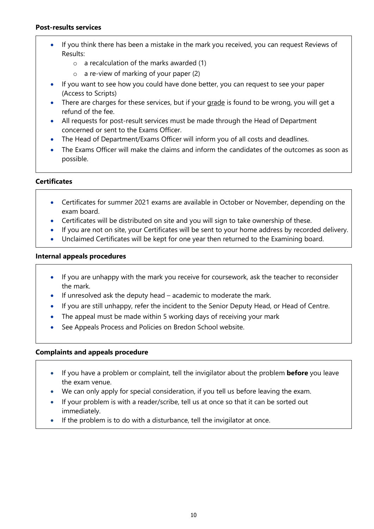#### Post-results services

- If you think there has been a mistake in the mark you received, you can request Reviews of Results:
	- o a recalculation of the marks awarded (1)
	- o a re-view of marking of your paper (2)
- If you want to see how you could have done better, you can request to see your paper (Access to Scripts)
- There are charges for these services, but if your grade is found to be wrong, you will get a refund of the fee.
- All requests for post-result services must be made through the Head of Department concerned or sent to the Exams Officer.
- The Head of Department/Exams Officer will inform you of all costs and deadlines.
- The Exams Officer will make the claims and inform the candidates of the outcomes as soon as possible.

#### **Certificates**

- Certificates for summer 2021 exams are available in October or November, depending on the exam board.
- Certificates will be distributed on site and you will sign to take ownership of these.
- If you are not on site, your Certificates will be sent to your home address by recorded delivery.
- Unclaimed Certificates will be kept for one year then returned to the Examining board.

#### Internal appeals procedures

- If you are unhappy with the mark you receive for coursework, ask the teacher to reconsider the mark.
- If unresolved ask the deputy head academic to moderate the mark.
- If you are still unhappy, refer the incident to the Senior Deputy Head, or Head of Centre.
- The appeal must be made within 5 working days of receiving your mark
- See Appeals Process and Policies on Bredon School website.

#### Complaints and appeals procedure

- If you have a problem or complaint, tell the invigilator about the problem **before** you leave the exam venue.
- We can only apply for special consideration, if you tell us before leaving the exam.
- If your problem is with a reader/scribe, tell us at once so that it can be sorted out immediately.
- If the problem is to do with a disturbance, tell the invigilator at once.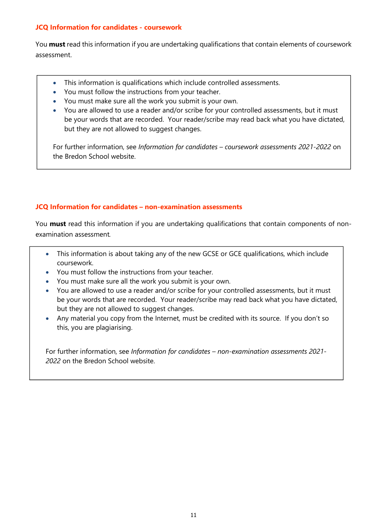#### JCQ Information for candidates - coursework

You **must** read this information if you are undertaking qualifications that contain elements of coursework assessment.

- This information is qualifications which include controlled assessments.
- You must follow the instructions from your teacher.
- You must make sure all the work you submit is your own.
- You are allowed to use a reader and/or scribe for your controlled assessments, but it must be your words that are recorded. Your reader/scribe may read back what you have dictated, but they are not allowed to suggest changes.

For further information, see Information for candidates – coursework assessments 2021-2022 on the Bredon School website.

#### JCQ Information for candidates – non-examination assessments

You **must** read this information if you are undertaking qualifications that contain components of nonexamination assessment.

- This information is about taking any of the new GCSE or GCE qualifications, which include coursework.
- You must follow the instructions from your teacher.
- You must make sure all the work you submit is your own.
- You are allowed to use a reader and/or scribe for your controlled assessments, but it must be your words that are recorded. Your reader/scribe may read back what you have dictated, but they are not allowed to suggest changes.
- Any material you copy from the Internet, must be credited with its source. If you don't so this, you are plagiarising.

For further information, see Information for candidates – non-examination assessments 2021- 2022 on the Bredon School website.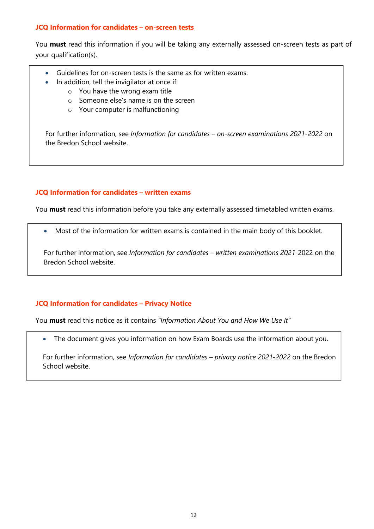#### JCQ Information for candidates – on-screen tests

You must read this information if you will be taking any externally assessed on-screen tests as part of your qualification(s).

- Guidelines for on-screen tests is the same as for written exams.
- In addition, tell the invigilator at once if:
	- o You have the wrong exam title
	- o Someone else's name is on the screen
	- o Your computer is malfunctioning

For further information, see Information for candidates – on-screen examinations 2021-2022 on the Bredon School website.

#### JCQ Information for candidates – written exams

You **must** read this information before you take any externally assessed timetabled written exams.

Most of the information for written exams is contained in the main body of this booklet.

For further information, see Information for candidates – written examinations 2021-2022 on the Bredon School website.

#### JCQ Information for candidates – Privacy Notice

You must read this notice as it contains "Information About You and How We Use It"

The document gives you information on how Exam Boards use the information about you.

For further information, see Information for candidates – privacy notice 2021-2022 on the Bredon School website.